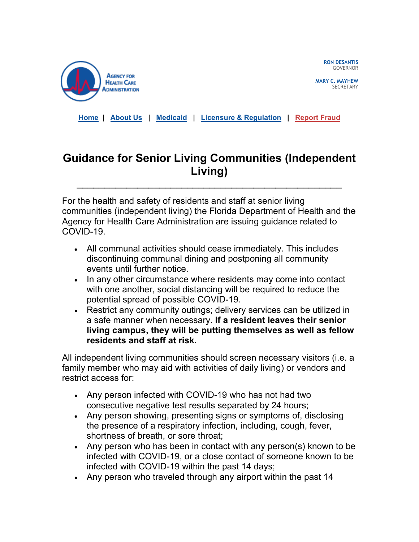

**RON DESANTIS** GOVERNOR

**MARY C. MAYHEW SECRETARY** 

**[Home](https://clicktime.symantec.com/3SN4YptW8S9HxQ7b2yvrKLw7Vc?u=https%3A%2F%2Fclick.icptrack.com%2Ficp%2Frelay.php%3Fr%3D18609262%26msgid%3D842977%26act%3DVG43%26c%3D227375%26destination%3Dhttp%253A%252F%252Fahca.myflorida.com%253Futm_source%253DiContact%2526utm_medium%253Demail%2526utm_campaign%253DESS%2526utm_content%253DESS_IndepLiv_03.21.2020) | [About Us](https://clicktime.symantec.com/3KuUyNo5Mfz2RyBGLizwgUm7Vc?u=https%3A%2F%2Fclick.icptrack.com%2Ficp%2Frelay.php%3Fr%3D18609262%26msgid%3D842977%26act%3DVG43%26c%3D227375%26destination%3Dhttp%253A%252F%252Fahca.myflorida.com%252FInside_AHCA%252Findex.shtml%253Futm_source%253DiContact%2526utm_medium%253Demail%2526utm_campaign%253DESS%2526utm_content%253DESS_IndepLiv_03.21.2020) | [Medicaid](https://clicktime.symantec.com/3XE4gi8F95ALfgLs2Ct1UBn7Vc?u=https%3A%2F%2Fclick.icptrack.com%2Ficp%2Frelay.php%3Fr%3D18609262%26msgid%3D842977%26act%3DVG43%26c%3D227375%26destination%3Dhttp%253A%252F%252Fahca.myflorida.com%252FMedicaid%252Findex.shtml%253Futm_source%253DiContact%2526utm_medium%253Demail%2526utm_campaign%253DESS%2526utm_content%253DESS_IndepLiv_03.21.2020) | [Licensure & Regulation](https://clicktime.symantec.com/3EwdGAN8kpKhfZFbqE4Bvqd7Vc?u=https%3A%2F%2Fclick.icptrack.com%2Ficp%2Frelay.php%3Fr%3D18609262%26msgid%3D842977%26act%3DVG43%26c%3D227375%26destination%3Dhttp%253A%252F%252Fahca.myflorida.com%252FMCHQ%252Findex.shtml%253Futm_source%253DiContact%2526utm_medium%253Demail%2526utm_campaign%253DESS%2526utm_content%253DESS_IndepLiv_03.21.2020) | [Report Fraud](https://clicktime.symantec.com/3F2XM5JY3KynW8DesQkyxct7Vc?u=https%3A%2F%2Fclick.icptrack.com%2Ficp%2Frelay.php%3Fr%3D18609262%26msgid%3D842977%26act%3DVG43%26c%3D227375%26destination%3Dhttp%253A%252F%252Fahca.myflorida.com%252FExecutive%252FInspector_General%252Fcomplaints.shtml%253Futm_source%253DiContact%2526utm_medium%253Demail%2526utm_campaign%253DESS%2526utm_content%253DESS_IndepLiv_03.21.2020)**

## **Guidance for Senior Living Communities (Independent Living)**

\_\_\_\_\_\_\_\_\_\_\_\_\_\_\_\_\_\_\_\_\_\_\_\_\_\_\_\_\_\_\_\_\_\_\_\_\_\_\_\_\_\_\_\_\_\_\_\_

For the health and safety of residents and staff at senior living communities (independent living) the Florida Department of Health and the Agency for Health Care Administration are issuing guidance related to COVID-19.

- All communal activities should cease immediately. This includes discontinuing communal dining and postponing all community events until further notice.
- In any other circumstance where residents may come into contact with one another, social distancing will be required to reduce the potential spread of possible COVID-19.
- Restrict any community outings; delivery services can be utilized in a safe manner when necessary. **If a resident leaves their senior living campus, they will be putting themselves as well as fellow residents and staff at risk.**

All independent living communities should screen necessary visitors (i.e. a family member who may aid with activities of daily living) or vendors and restrict access for:

- Any person infected with COVID-19 who has not had two consecutive negative test results separated by 24 hours;
- Any person showing, presenting signs or symptoms of, disclosing the presence of a respiratory infection, including, cough, fever, shortness of breath, or sore throat;
- Any person who has been in contact with any person(s) known to be infected with COVID-19, or a close contact of someone known to be infected with COVID-19 within the past 14 days;
- Any person who traveled through any airport within the past 14